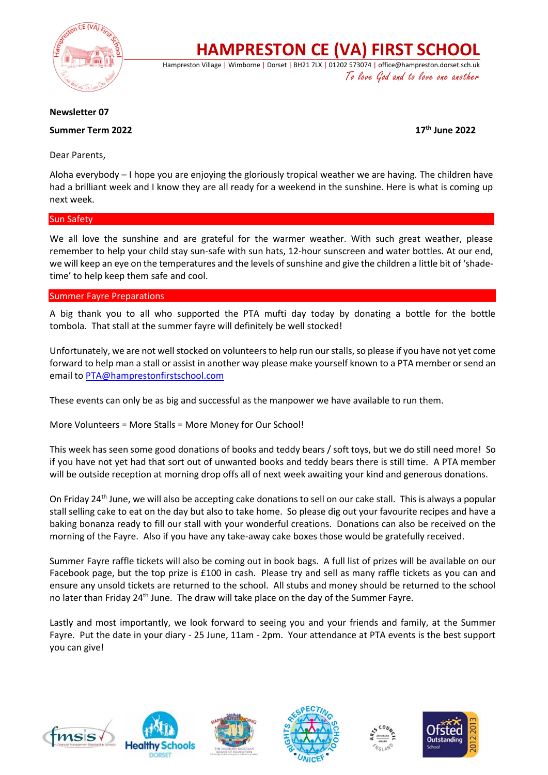

**HAMPRESTON CE (VA) FIRST SCHOOL**

Hampreston Village | Wimborne | Dorset | BH21 7LX | 01202 573074 | office@hampreston.dorset.sch.uk To love God and to love one another

## **Newsletter 07**

## **Summer Term 2022**

**th June 2022**

Dear Parents,

Aloha everybody – I hope you are enjoying the gloriously tropical weather we are having. The children have had a brilliant week and I know they are all ready for a weekend in the sunshine. Here is what is coming up next week.

## Sun Safety

We all love the sunshine and are grateful for the warmer weather. With such great weather, please remember to help your child stay sun-safe with sun hats, 12-hour sunscreen and water bottles. At our end, we will keep an eye on the temperatures and the levels of sunshine and give the children a little bit of 'shadetime' to help keep them safe and cool.

## Summer Fayre Preparations

A big thank you to all who supported the PTA mufti day today by donating a bottle for the bottle tombola. That stall at the summer fayre will definitely be well stocked!

Unfortunately, we are not well stocked on volunteers to help run our stalls, so please if you have not yet come forward to help man a stall or assist in another way please make yourself known to a PTA member or send an email to [PTA@hamprestonfirstschool.com](mailto:PTA@hamprestonfirstschool.com) 

These events can only be as big and successful as the manpower we have available to run them.

More Volunteers = More Stalls = More Money for Our School!

This week has seen some good donations of books and teddy bears / soft toys, but we do still need more! So if you have not yet had that sort out of unwanted books and teddy bears there is still time. A PTA member will be outside reception at morning drop offs all of next week awaiting your kind and generous donations.

On Friday 24<sup>th</sup> June, we will also be accepting cake donations to sell on our cake stall. This is always a popular stall selling cake to eat on the day but also to take home. So please dig out your favourite recipes and have a baking bonanza ready to fill our stall with your wonderful creations. Donations can also be received on the morning of the Fayre. Also if you have any take-away cake boxes those would be gratefully received.

Summer Fayre raffle tickets will also be coming out in book bags. A full list of prizes will be available on our Facebook page, but the top prize is £100 in cash. Please try and sell as many raffle tickets as you can and ensure any unsold tickets are returned to the school. All stubs and money should be returned to the school no later than Friday 24<sup>th</sup> June. The draw will take place on the day of the Summer Fayre.

Lastly and most importantly, we look forward to seeing you and your friends and family, at the Summer Fayre. Put the date in your diary - 25 June, 11am - 2pm. Your attendance at PTA events is the best support you can give!











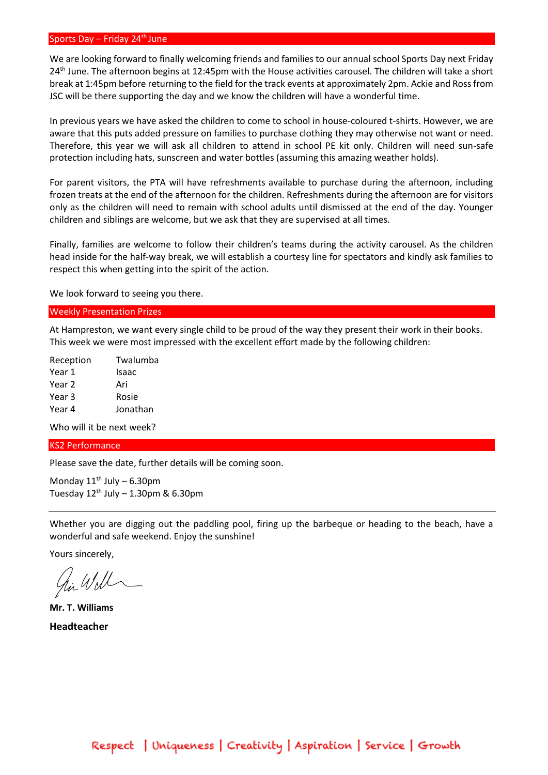#### Sports Day – Friday 24<sup>th</sup> June

We are looking forward to finally welcoming friends and families to our annual school Sports Day next Friday 24<sup>th</sup> June. The afternoon begins at 12:45pm with the House activities carousel. The children will take a short break at 1:45pm before returning to the field for the track events at approximately 2pm. Ackie and Ross from JSC will be there supporting the day and we know the children will have a wonderful time.

In previous years we have asked the children to come to school in house-coloured t-shirts. However, we are aware that this puts added pressure on families to purchase clothing they may otherwise not want or need. Therefore, this year we will ask all children to attend in school PE kit only. Children will need sun-safe protection including hats, sunscreen and water bottles (assuming this amazing weather holds).

For parent visitors, the PTA will have refreshments available to purchase during the afternoon, including frozen treats at the end of the afternoon for the children. Refreshments during the afternoon are for visitors only as the children will need to remain with school adults until dismissed at the end of the day. Younger children and siblings are welcome, but we ask that they are supervised at all times.

Finally, families are welcome to follow their children's teams during the activity carousel. As the children head inside for the half-way break, we will establish a courtesy line for spectators and kindly ask families to respect this when getting into the spirit of the action.

We look forward to seeing you there.

#### Weekly Presentation Prizes

At Hampreston, we want every single child to be proud of the way they present their work in their books. This week we were most impressed with the excellent effort made by the following children:

Reception Twalumba Year 1 Isaac Year 2 Ari Year 3 Rosie Year 4 Jonathan

Who will it be next week?

### KS2 Performance

Please save the date, further details will be coming soon.

Monday  $11^{th}$  July – 6.30pm Tuesday  $12<sup>th</sup>$  July – 1.30pm & 6.30pm

Whether you are digging out the paddling pool, firing up the barbeque or heading to the beach, have a wonderful and safe weekend. Enjoy the sunshine!

Yours sincerely,

**Mr. T. Williams Headteacher**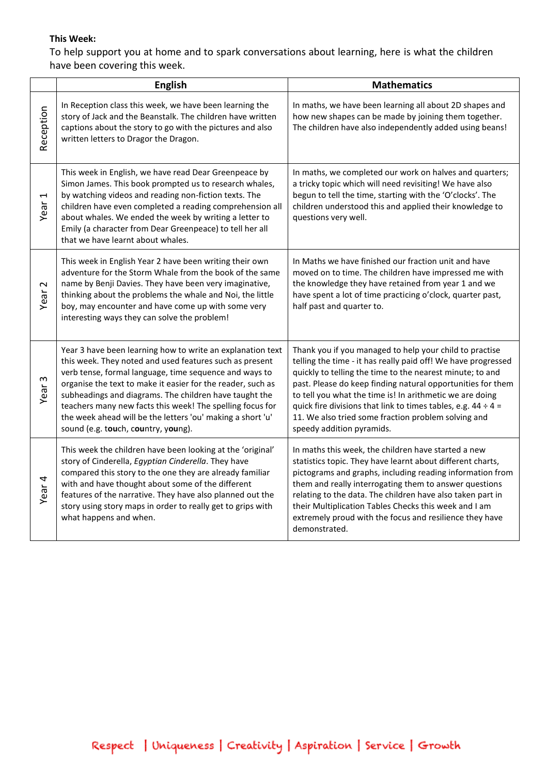## **This Week:**

To help support you at home and to spark conversations about learning, here is what the children have been covering this week.

|                                  | <b>English</b>                                                                                                                                                                                                                                                                                                                                                                                                                                                             | <b>Mathematics</b>                                                                                                                                                                                                                                                                                                                                                                                                                                                         |
|----------------------------------|----------------------------------------------------------------------------------------------------------------------------------------------------------------------------------------------------------------------------------------------------------------------------------------------------------------------------------------------------------------------------------------------------------------------------------------------------------------------------|----------------------------------------------------------------------------------------------------------------------------------------------------------------------------------------------------------------------------------------------------------------------------------------------------------------------------------------------------------------------------------------------------------------------------------------------------------------------------|
| Reception                        | In Reception class this week, we have been learning the<br>story of Jack and the Beanstalk. The children have written<br>captions about the story to go with the pictures and also<br>written letters to Dragor the Dragon.                                                                                                                                                                                                                                                | In maths, we have been learning all about 2D shapes and<br>how new shapes can be made by joining them together.<br>The children have also independently added using beans!                                                                                                                                                                                                                                                                                                 |
| $\overline{\phantom{0}}$<br>Year | This week in English, we have read Dear Greenpeace by<br>Simon James. This book prompted us to research whales,<br>by watching videos and reading non-fiction texts. The<br>children have even completed a reading comprehension all<br>about whales. We ended the week by writing a letter to<br>Emily (a character from Dear Greenpeace) to tell her all<br>that we have learnt about whales.                                                                            | In maths, we completed our work on halves and quarters;<br>a tricky topic which will need revisiting! We have also<br>begun to tell the time, starting with the 'O'clocks'. The<br>children understood this and applied their knowledge to<br>questions very well.                                                                                                                                                                                                         |
| $\sim$<br>Year                   | This week in English Year 2 have been writing their own<br>adventure for the Storm Whale from the book of the same<br>name by Benji Davies. They have been very imaginative,<br>thinking about the problems the whale and Noi, the little<br>boy, may encounter and have come up with some very<br>interesting ways they can solve the problem!                                                                                                                            | In Maths we have finished our fraction unit and have<br>moved on to time. The children have impressed me with<br>the knowledge they have retained from year 1 and we<br>have spent a lot of time practicing o'clock, quarter past,<br>half past and quarter to.                                                                                                                                                                                                            |
| S<br>Year                        | Year 3 have been learning how to write an explanation text<br>this week. They noted and used features such as present<br>verb tense, formal language, time sequence and ways to<br>organise the text to make it easier for the reader, such as<br>subheadings and diagrams. The children have taught the<br>teachers many new facts this week! The spelling focus for<br>the week ahead will be the letters 'ou' making a short 'u'<br>sound (e.g. touch, country, young). | Thank you if you managed to help your child to practise<br>telling the time - it has really paid off! We have progressed<br>quickly to telling the time to the nearest minute; to and<br>past. Please do keep finding natural opportunities for them<br>to tell you what the time is! In arithmetic we are doing<br>quick fire divisions that link to times tables, e.g. $44 \div 4 =$<br>11. We also tried some fraction problem solving and<br>speedy addition pyramids. |
| Year <sub>4</sub>                | This week the children have been looking at the 'original'<br>story of Cinderella, Egyptian Cinderella. They have<br>compared this story to the one they are already familiar<br>with and have thought about some of the different<br>features of the narrative. They have also planned out the<br>story using story maps in order to really get to grips with<br>what happens and when.                                                                                   | In maths this week, the children have started a new<br>statistics topic. They have learnt about different charts,<br>pictograms and graphs, including reading information from<br>them and really interrogating them to answer questions<br>relating to the data. The children have also taken part in<br>their Multiplication Tables Checks this week and I am<br>extremely proud with the focus and resilience they have<br>demonstrated.                                |